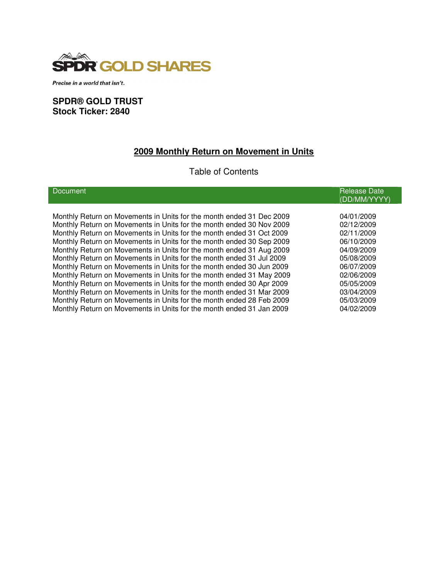

Precise in a world that isn't.

### **SPDR® GOLD TRUST Stock Ticker: 2840**

# **2009 Monthly Return on Movement in Units**

## Table of Contents

| Document                                                             | <b>Release Date</b><br>(DD/MM/YYYY) |
|----------------------------------------------------------------------|-------------------------------------|
|                                                                      |                                     |
| Monthly Return on Movements in Units for the month ended 31 Dec 2009 | 04/01/2009                          |
| Monthly Return on Movements in Units for the month ended 30 Nov 2009 | 02/12/2009                          |
| Monthly Return on Movements in Units for the month ended 31 Oct 2009 | 02/11/2009                          |
| Monthly Return on Movements in Units for the month ended 30 Sep 2009 | 06/10/2009                          |
| Monthly Return on Movements in Units for the month ended 31 Aug 2009 | 04/09/2009                          |
| Monthly Return on Movements in Units for the month ended 31 Jul 2009 | 05/08/2009                          |
| Monthly Return on Movements in Units for the month ended 30 Jun 2009 | 06/07/2009                          |
| Monthly Return on Movements in Units for the month ended 31 May 2009 | 02/06/2009                          |
| Monthly Return on Movements in Units for the month ended 30 Apr 2009 | 05/05/2009                          |
| Monthly Return on Movements in Units for the month ended 31 Mar 2009 | 03/04/2009                          |
| Monthly Return on Movements in Units for the month ended 28 Feb 2009 | 05/03/2009                          |
| Monthly Return on Movements in Units for the month ended 31 Jan 2009 | 04/02/2009                          |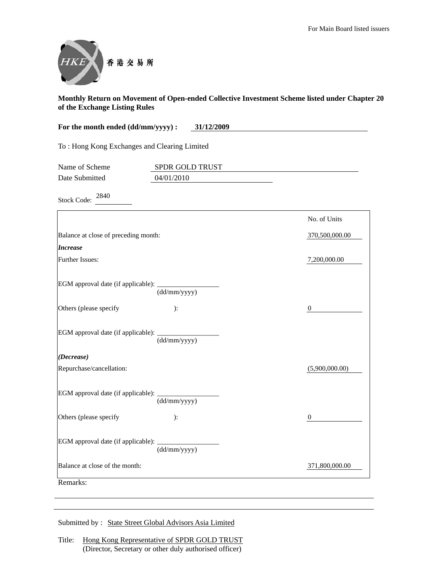

| For the month ended (dd/mm/yyyy) :           | 31/12/2009                    |                  |
|----------------------------------------------|-------------------------------|------------------|
| To: Hong Kong Exchanges and Clearing Limited |                               |                  |
| Name of Scheme<br>Date Submitted             | SPDR GOLD TRUST<br>04/01/2010 |                  |
| 2840<br><b>Stock Code:</b>                   |                               |                  |
|                                              |                               | No. of Units     |
| Balance at close of preceding month:         |                               | 370,500,000.00   |
| <b>Increase</b>                              |                               |                  |
| Further Issues:                              |                               | 7,200,000.00     |
| EGM approval date (if applicable):           | (dd/mm/yyyy)                  |                  |
| Others (please specify                       | ):                            | $\boldsymbol{0}$ |
| EGM approval date (if applicable):           | (dd/mm/yyyy)                  |                  |
| (Decrease)                                   |                               |                  |
| Repurchase/cancellation:                     |                               | (5,900,000.00)   |
| EGM approval date (if applicable):           | (dd/mm/yyyy)                  |                  |
| Others (please specify                       | ):                            | $\mathbf{0}$     |
| EGM approval date (if applicable):           | (dd/mm/yyyy)                  |                  |
| Balance at close of the month:               |                               | 371,800,000.00   |
| Remarks:                                     |                               |                  |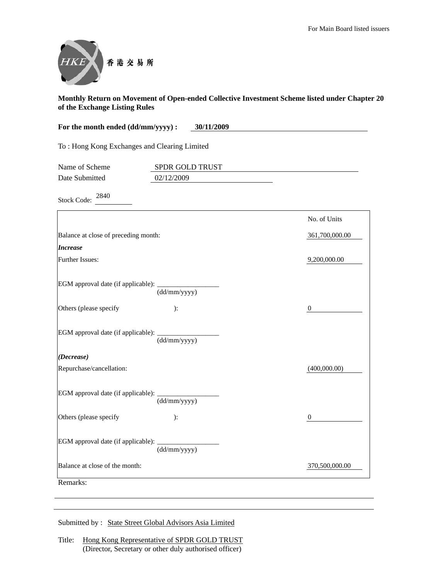

| For the month ended (dd/mm/yyyy):<br>30/11/2009 |                               |                  |
|-------------------------------------------------|-------------------------------|------------------|
| To: Hong Kong Exchanges and Clearing Limited    |                               |                  |
| Name of Scheme<br>Date Submitted                | SPDR GOLD TRUST<br>02/12/2009 |                  |
| 2840<br><b>Stock Code:</b>                      |                               |                  |
|                                                 |                               | No. of Units     |
| Balance at close of preceding month:            |                               | 361,700,000.00   |
| <b>Increase</b>                                 |                               |                  |
| Further Issues:                                 |                               | 9,200,000.00     |
| EGM approval date (if applicable):              | (dd/mm/yyyy)                  |                  |
| Others (please specify                          | ):                            | $\boldsymbol{0}$ |
| EGM approval date (if applicable):              | (dd/mm/yyyy)                  |                  |
| (Decrease)                                      |                               |                  |
| Repurchase/cancellation:                        |                               | (400,000.00)     |
| EGM approval date (if applicable):              | (dd/mm/yyyy)                  |                  |
| Others (please specify                          | ):                            | $\boldsymbol{0}$ |
| EGM approval date (if applicable):              | (dd/mm/yyyy)                  |                  |
| Balance at close of the month:                  |                               | 370,500,000.00   |
| Remarks:                                        |                               |                  |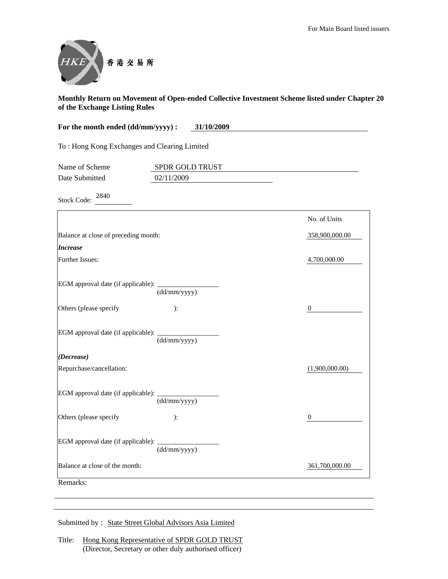

| For the month ended (dd/mm/yyyy) :<br>31/10/2009 |                 |                  |
|--------------------------------------------------|-----------------|------------------|
| To: Hong Kong Exchanges and Clearing Limited     |                 |                  |
| Name of Scheme                                   | SPDR GOLD TRUST |                  |
| Date Submitted                                   | 02/11/2009      |                  |
| 2840<br><b>Stock Code:</b>                       |                 |                  |
|                                                  |                 | No. of Units     |
| Balance at close of preceding month:             |                 | 358,900,000.00   |
| <b>Increase</b>                                  |                 |                  |
| <b>Further Issues:</b>                           |                 | 4,700,000.00     |
| EGM approval date (if applicable):               | (dd/mm/yyyy)    |                  |
| Others (please specify                           | ):              | $\boldsymbol{0}$ |
| EGM approval date (if applicable):               | (dd/mm/yyyy)    |                  |
| (Decrease)                                       |                 |                  |
| Repurchase/cancellation:                         |                 | (1,900,000.00)   |
| EGM approval date (if applicable):               | (dd/mm/yyyy)    |                  |
| Others (please specify                           | ):              | $\boldsymbol{0}$ |
| EGM approval date (if applicable):               | (dd/mm/yyyy)    |                  |
| Balance at close of the month:                   |                 | 361,700,000.00   |
| Remarks:                                         |                 |                  |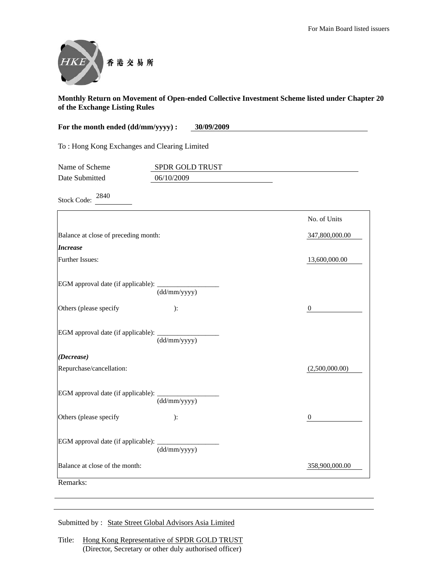

| For the month ended (dd/mm/yyyy) :<br>30/09/2009 |                               |                  |
|--------------------------------------------------|-------------------------------|------------------|
| To: Hong Kong Exchanges and Clearing Limited     |                               |                  |
| Name of Scheme<br>Date Submitted                 | SPDR GOLD TRUST<br>06/10/2009 |                  |
| 2840<br><b>Stock Code:</b>                       |                               |                  |
|                                                  |                               | No. of Units     |
| Balance at close of preceding month:             |                               | 347,800,000.00   |
| <b>Increase</b>                                  |                               |                  |
| Further Issues:                                  |                               | 13,600,000.00    |
| EGM approval date (if applicable):               | (dd/mm/yyyy)                  |                  |
| Others (please specify                           | ):                            | $\boldsymbol{0}$ |
| EGM approval date (if applicable):               | (dd/mm/yyyy)                  |                  |
| (Decrease)                                       |                               |                  |
| Repurchase/cancellation:                         |                               | (2,500,000.00)   |
| EGM approval date (if applicable):               | (dd/mm/yyyy)                  |                  |
| Others (please specify                           | ):                            | $\mathbf{0}$     |
| EGM approval date (if applicable):               | (dd/mm/yyyy)                  |                  |
| Balance at close of the month:                   |                               | 358,900,000.00   |
| Remarks:                                         |                               |                  |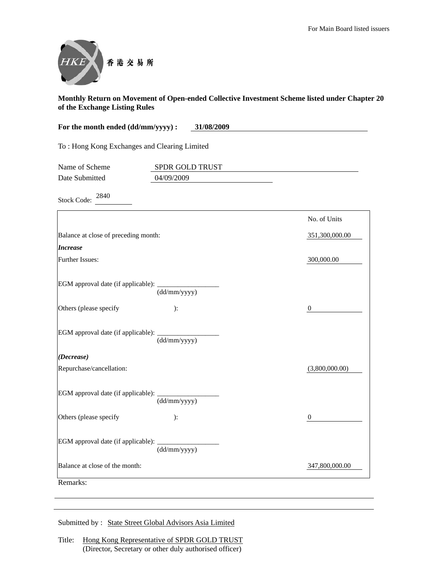

| For the month ended (dd/mm/yyyy) :<br>31/08/2009 |                 |                  |
|--------------------------------------------------|-----------------|------------------|
| To: Hong Kong Exchanges and Clearing Limited     |                 |                  |
| Name of Scheme                                   | SPDR GOLD TRUST |                  |
| Date Submitted                                   | 04/09/2009      |                  |
| 2840<br><b>Stock Code:</b>                       |                 |                  |
|                                                  |                 | No. of Units     |
| Balance at close of preceding month:             |                 | 351,300,000.00   |
| <b>Increase</b>                                  |                 |                  |
| <b>Further Issues:</b>                           |                 | 300,000.00       |
| EGM approval date (if applicable):               | (dd/mm/yyyy)    |                  |
| Others (please specify                           | ):              | $\boldsymbol{0}$ |
| EGM approval date (if applicable):               | (dd/mm/yyyy)    |                  |
| (Decrease)                                       |                 |                  |
| Repurchase/cancellation:                         |                 | (3,800,000.00)   |
| EGM approval date (if applicable):               | (dd/mm/yyyy)    |                  |
| Others (please specify                           | $\mathbf{)}$ :  | $\boldsymbol{0}$ |
| EGM approval date (if applicable):               | (dd/mm/yyyy)    |                  |
| Balance at close of the month:                   |                 | 347,800,000.00   |
| Remarks:                                         |                 |                  |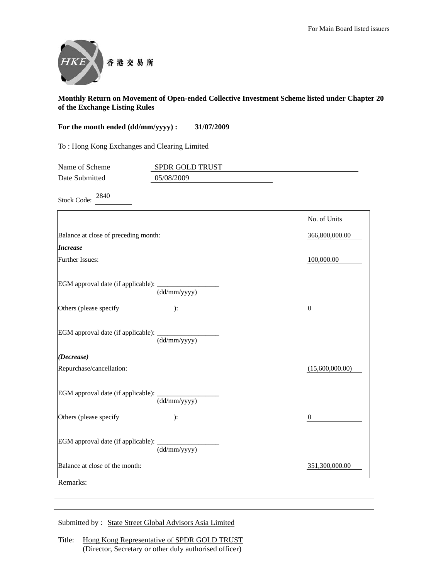

| For the month ended (dd/mm/yyyy) :           | 31/07/2009                    |                  |
|----------------------------------------------|-------------------------------|------------------|
| To: Hong Kong Exchanges and Clearing Limited |                               |                  |
| Name of Scheme<br>Date Submitted             | SPDR GOLD TRUST<br>05/08/2009 |                  |
| 2840<br><b>Stock Code:</b>                   |                               |                  |
|                                              |                               | No. of Units     |
| Balance at close of preceding month:         |                               | 366,800,000.00   |
| <i>Increase</i>                              |                               |                  |
| Further Issues:                              |                               | 100,000.00       |
| EGM approval date (if applicable):           | (dd/mm/yyyy)                  |                  |
| Others (please specify                       | ):                            | $\boldsymbol{0}$ |
| EGM approval date (if applicable):           | (dd/mm/yyyy)                  |                  |
| (Decrease)                                   |                               |                  |
| Repurchase/cancellation:                     |                               | (15,600,000.00)  |
| EGM approval date (if applicable):           | (dd/mm/yyyy)                  |                  |
| Others (please specify                       | $\mathbf{)}$ :                | $\overline{0}$   |
| EGM approval date (if applicable):           | (dd/mm/yyyy)                  |                  |
| Balance at close of the month:               |                               | 351,300,000.00   |
| Remarks:                                     |                               |                  |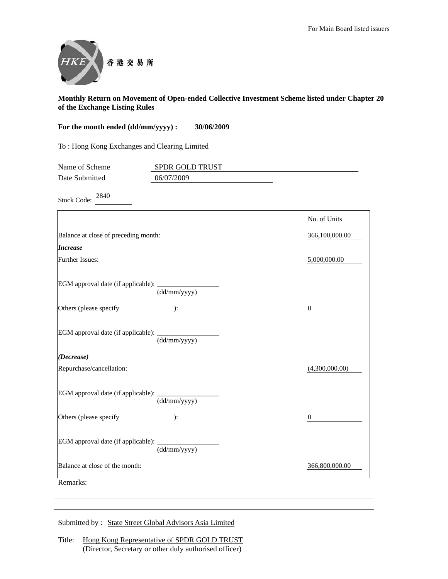

| For the month ended (dd/mm/yyyy) :<br>30/06/2009 |                               |                  |
|--------------------------------------------------|-------------------------------|------------------|
| To: Hong Kong Exchanges and Clearing Limited     |                               |                  |
| Name of Scheme<br>Date Submitted                 | SPDR GOLD TRUST<br>06/07/2009 |                  |
| 2840<br><b>Stock Code:</b>                       |                               |                  |
|                                                  |                               | No. of Units     |
| Balance at close of preceding month:             |                               | 366,100,000.00   |
| <b>Increase</b>                                  |                               |                  |
| Further Issues:                                  |                               | 5,000,000.00     |
| EGM approval date (if applicable):               | (dd/mm/yyyy)                  |                  |
| Others (please specify                           | ):                            | $\boldsymbol{0}$ |
| EGM approval date (if applicable):               | (dd/mm/yyyy)                  |                  |
| (Decrease)                                       |                               |                  |
| Repurchase/cancellation:                         |                               | (4,300,000.00)   |
| EGM approval date (if applicable):               | (dd/mm/yyyy)                  |                  |
| Others (please specify                           | ):                            | $\mathbf{0}$     |
| EGM approval date (if applicable):               | (dd/mm/yyyy)                  |                  |
| Balance at close of the month:                   |                               | 366,800,000.00   |
| Remarks:                                         |                               |                  |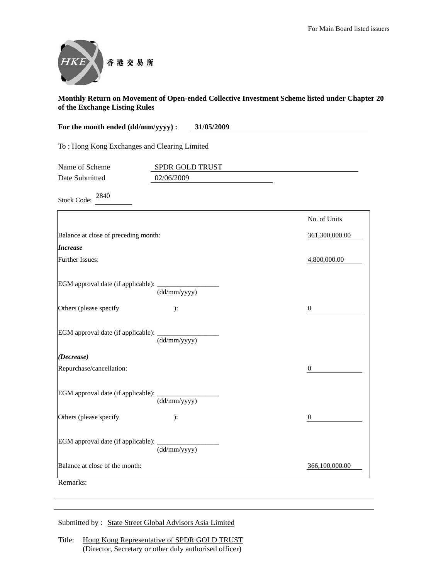

| For the month ended (dd/mm/yyyy):<br>31/05/2009 |                 |                  |
|-------------------------------------------------|-----------------|------------------|
| To: Hong Kong Exchanges and Clearing Limited    |                 |                  |
| Name of Scheme                                  | SPDR GOLD TRUST |                  |
| Date Submitted                                  | 02/06/2009      |                  |
| 2840<br><b>Stock Code:</b>                      |                 |                  |
|                                                 |                 | No. of Units     |
| Balance at close of preceding month:            |                 | 361,300,000.00   |
| <b>Increase</b>                                 |                 |                  |
| Further Issues:                                 |                 | 4,800,000.00     |
| EGM approval date (if applicable):              | (dd/mm/yyyy)    |                  |
| Others (please specify                          | ):              | $\mathbf{0}$     |
| EGM approval date (if applicable):              | (dd/mm/yyyy)    |                  |
| (Decrease)                                      |                 |                  |
| Repurchase/cancellation:                        |                 | $\boldsymbol{0}$ |
| EGM approval date (if applicable):              | (dd/mm/yyyy)    |                  |
| Others (please specify                          | ):              | 0                |
| EGM approval date (if applicable):              | (dd/mm/yyyy)    |                  |
| Balance at close of the month:                  |                 | 366,100,000.00   |
| Remarks:                                        |                 |                  |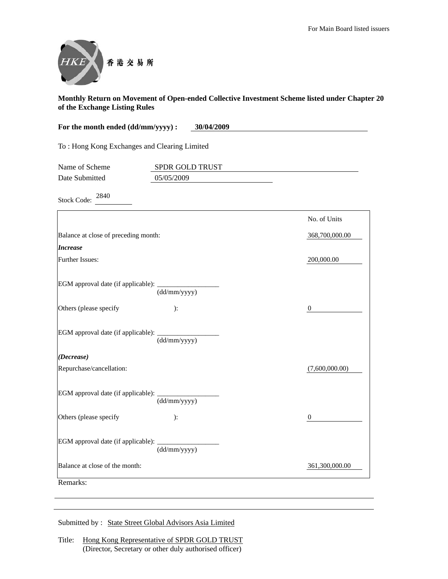

| For the month ended (dd/mm/yyyy) :<br>30/04/2009 |                               |                  |
|--------------------------------------------------|-------------------------------|------------------|
| To: Hong Kong Exchanges and Clearing Limited     |                               |                  |
| Name of Scheme<br>Date Submitted                 | SPDR GOLD TRUST<br>05/05/2009 |                  |
| 2840<br><b>Stock Code:</b>                       |                               |                  |
|                                                  |                               | No. of Units     |
| Balance at close of preceding month:             |                               | 368,700,000.00   |
| <b>Increase</b>                                  |                               |                  |
| Further Issues:                                  |                               | 200,000.00       |
| EGM approval date (if applicable):               | (dd/mm/yyyy)                  |                  |
| Others (please specify                           | ):                            | $\boldsymbol{0}$ |
| EGM approval date (if applicable):               | (dd/mm/yyyy)                  |                  |
| (Decrease)                                       |                               |                  |
| Repurchase/cancellation:                         |                               | (7,600,000.00)   |
| EGM approval date (if applicable):               | (dd/mm/yyyy)                  |                  |
| Others (please specify                           | ):                            | $\mathbf{0}$     |
| EGM approval date (if applicable):               | (dd/mm/yyyy)                  |                  |
| Balance at close of the month:                   |                               | 361,300,000.00   |
| Remarks:                                         |                               |                  |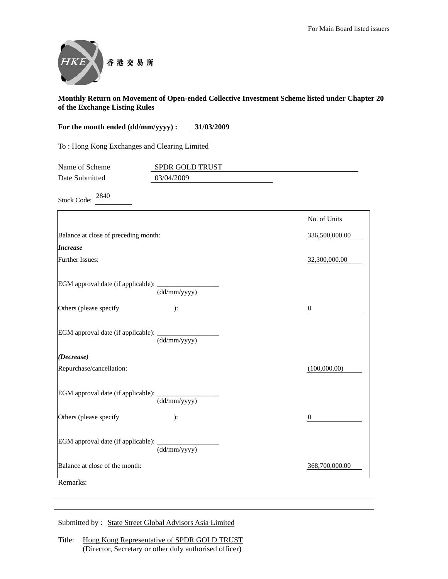

| For the month ended (dd/mm/yyyy) :<br>31/03/2009 |                               |                  |
|--------------------------------------------------|-------------------------------|------------------|
| To: Hong Kong Exchanges and Clearing Limited     |                               |                  |
| Name of Scheme<br>Date Submitted                 | SPDR GOLD TRUST<br>03/04/2009 |                  |
| 2840<br><b>Stock Code:</b>                       |                               |                  |
|                                                  |                               | No. of Units     |
| Balance at close of preceding month:             |                               | 336,500,000.00   |
| <b>Increase</b>                                  |                               |                  |
| Further Issues:                                  |                               | 32,300,000.00    |
| EGM approval date (if applicable):               | (dd/mm/yyyy)                  |                  |
| Others (please specify                           | ):                            | $\boldsymbol{0}$ |
| EGM approval date (if applicable):               | (dd/mm/yyyy)                  |                  |
| (Decrease)                                       |                               |                  |
| Repurchase/cancellation:                         |                               | (100,000.00)     |
| EGM approval date (if applicable):               | (dd/mm/yyyy)                  |                  |
| Others (please specify                           | ):                            | $\mathbf{0}$     |
| EGM approval date (if applicable):               | (dd/mm/yyyy)                  |                  |
| Balance at close of the month:                   |                               | 368,700,000.00   |
| Remarks:                                         |                               |                  |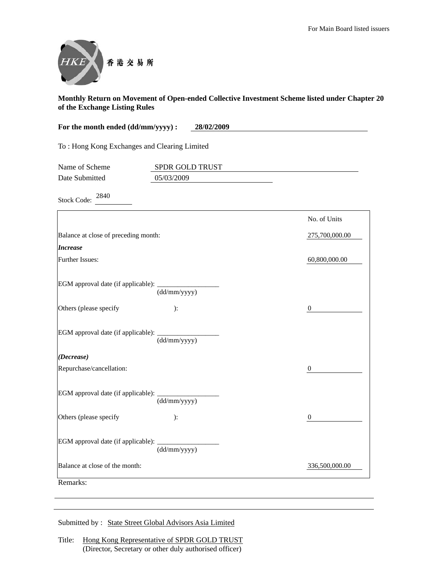

| For the month ended (dd/mm/yyyy) :           | 28/02/2009                    |                  |
|----------------------------------------------|-------------------------------|------------------|
| To: Hong Kong Exchanges and Clearing Limited |                               |                  |
| Name of Scheme<br>Date Submitted             | SPDR GOLD TRUST<br>05/03/2009 |                  |
| 2840<br><b>Stock Code:</b>                   |                               |                  |
|                                              |                               | No. of Units     |
| Balance at close of preceding month:         |                               | 275,700,000.00   |
| <b>Increase</b>                              |                               |                  |
| Further Issues:                              |                               | 60,800,000.00    |
| EGM approval date (if applicable):           | (dd/mm/yyyy)                  |                  |
| Others (please specify                       | ):                            | $\boldsymbol{0}$ |
| EGM approval date (if applicable):           | (dd/mm/yyyy)                  |                  |
| (Decrease)                                   |                               |                  |
| Repurchase/cancellation:                     |                               | 0                |
| EGM approval date (if applicable):           | (dd/mm/yyyy)                  |                  |
| Others (please specify                       | ):                            | $\boldsymbol{0}$ |
| EGM approval date (if applicable):           | (dd/mm/yyyy)                  |                  |
| Balance at close of the month:               |                               | 336,500,000.00   |
| Remarks:                                     |                               |                  |